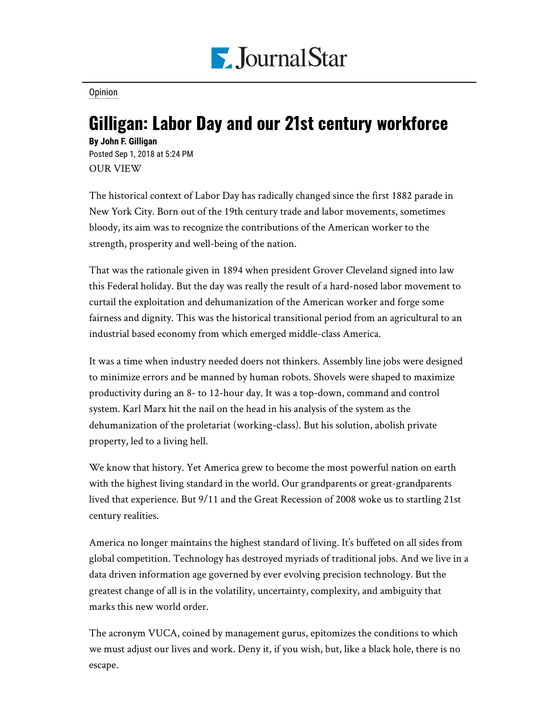

**[Opinion](https://www.pjstar.com/search?text=Opinion)** 

## Gilligan: Labor Day and our 21st century workforce

**By John F. Gilligan** Posted Sep 1, 2018 at 5:24 PM OUR VIEW

The historical context of Labor Day has radically changed since the first 1882 parade in New York City. Born out of the 19th century trade and labor movements, sometimes bloody, its aim was to recognize the contributions of the American worker to the strength, prosperity and well-being of the nation.

That was the rationale given in 1894 when president Grover Cleveland signed into law this Federal holiday. But the day was really the result of a hard-nosed labor movement to curtail the exploitation and dehumanization of the American worker and forge some fairness and dignity. This was the historical transitional period from an agricultural to an industrial based economy from which emerged middle-class America.

It was a time when industry needed doers not thinkers. Assembly line jobs were designed to minimize errors and be manned by human robots. Shovels were shaped to maximize productivity during an 8- to 12-hour day. It was a top-down, command and control system. Karl Marx hit the nail on the head in his analysis of the system as the dehumanization of the proletariat (working-class). But his solution, abolish private property, led to a living hell.

We know that history. Yet America grew to become the most powerful nation on earth with the highest living standard in the world. Our grandparents or great-grandparents lived that experience. But 9/11 and the Great Recession of 2008 woke us to startling 21st century realities.

America no longer maintains the highest standard of living. It's buffeted on all sides from global competition. Technology has destroyed myriads of traditional jobs. And we live in a data driven information age governed by ever evolving precision technology. But the greatest change of all is in the volatility, uncertainty, complexity, and ambiguity that marks this new world order.

The acronym VUCA, coined by management gurus, epitomizes the conditions to which we must adjust our lives and work. Deny it, if you wish, but, like a black hole, there is no escape.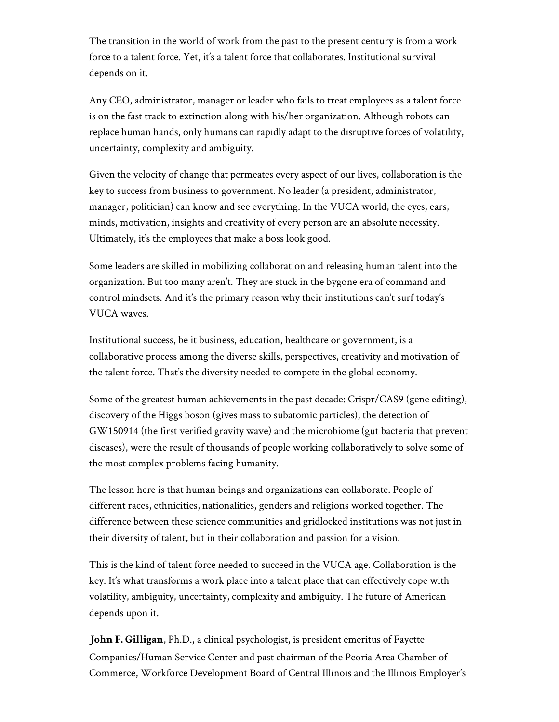The transition in the world of work from the past to the present century is from a work force to a talent force. Yet, it's a talent force that collaborates. Institutional survival depends on it.

Any CEO, administrator, manager or leader who fails to treat employees as a talent force is on the fast track to extinction along with his/her organization. Although robots can replace human hands, only humans can rapidly adapt to the disruptive forces of volatility, uncertainty, complexity and ambiguity.

Given the velocity of change that permeates every aspect of our lives, collaboration is the key to success from business to government. No leader (a president, administrator, manager, politician) can know and see everything. In the VUCA world, the eyes, ears, minds, motivation, insights and creativity of every person are an absolute necessity. Ultimately, it's the employees that make a boss look good.

Some leaders are skilled in mobilizing collaboration and releasing human talent into the organization. But too many aren't. They are stuck in the bygone era of command and control mindsets. And it's the primary reason why their institutions can't surf today's VUCA waves.

Institutional success, be it business, education, healthcare or government, is a collaborative process among the diverse skills, perspectives, creativity and motivation of the talent force. That's the diversity needed to compete in the global economy.

Some of the greatest human achievements in the past decade: Crispr/CAS9 (gene editing), discovery of the Higgs boson (gives mass to subatomic particles), the detection of GW150914 (the first verified gravity wave) and the microbiome (gut bacteria that prevent diseases), were the result of thousands of people working collaboratively to solve some of the most complex problems facing humanity.

The lesson here is that human beings and organizations can collaborate. People of different races, ethnicities, nationalities, genders and religions worked together. The difference between these science communities and gridlocked institutions was not just in their diversity of talent, but in their collaboration and passion for a vision.

This is the kind of talent force needed to succeed in the VUCA age. Collaboration is the key. It's what transforms a work place into a talent place that can effectively cope with volatility, ambiguity, uncertainty, complexity and ambiguity. The future of American depends upon it.

**John F. Gilligan**, Ph.D., a clinical psychologist, is president emeritus of Fayette Companies/Human Service Center and past chairman of the Peoria Area Chamber of Commerce, Workforce Development Board of Central Illinois and the Illinois Employer's